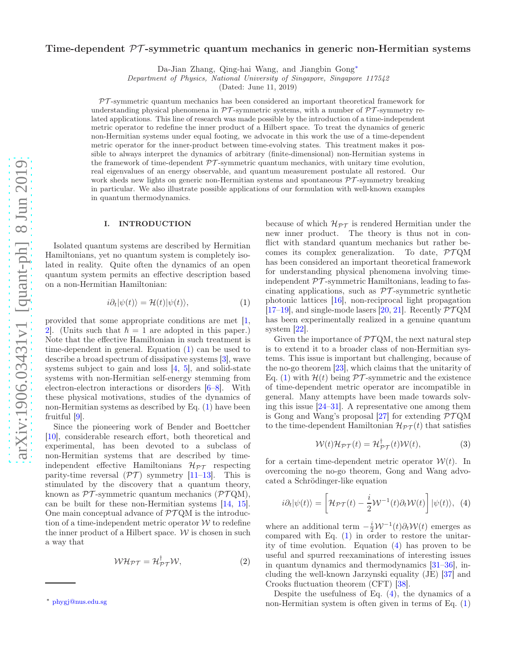# Time-dependent  $\mathcal{PT}$ -symmetric quantum mechanics in generic non-Hermitian systems

Da-Jian Zhang, Qing-hai Wang, and Jiangbin Gong[∗](#page-0-0)

Department of Physics, National University of Singapore, Singapore 117542

(Dated: June 11, 2019)

 $PT$ -symmetric quantum mechanics has been considered an important theoretical framework for understanding physical phenomena in  $\mathcal{PT}$ -symmetric systems, with a number of  $\mathcal{PT}$ -symmetry related applications. This line of research was made possible by the introduction of a time-independent metric operator to redefine the inner product of a Hilbert space. To treat the dynamics of generic non-Hermitian systems under equal footing, we advocate in this work the use of a time-dependent metric operator for the inner-product between time-evolving states. This treatment makes it possible to always interpret the dynamics of arbitrary (finite-dimensional) non-Hermitian systems in the framework of time-dependent  $\mathcal{PT}$ -symmetric quantum mechanics, with unitary time evolution, real eigenvalues of an energy observable, and quantum measurement postulate all restored. Our work sheds new lights on generic non-Hermitian systems and spontaneous  $\mathcal{PT}$ -symmetry breaking in particular. We also illustrate possible applications of our formulation with well-known examples in quantum thermodynamics.

### <span id="page-0-4"></span>I. INTRODUCTION

Isolated quantum systems are described by Hermitian Hamiltonians, yet no quantum system is completely isolated in reality. Quite often the dynamics of an open quantum system permits an effective description based on a non-Hermitian Hamiltonian:

<span id="page-0-1"></span>
$$
i\partial_t|\psi(t)\rangle = \mathcal{H}(t)|\psi(t)\rangle, \tag{1}
$$

provided that some appropriate conditions are met [\[1](#page-7-0), [2](#page-7-1). (Units such that  $\hbar = 1$  are adopted in this paper.) Note that the effective Hamiltonian in such treatment is time-dependent in general. Equation [\(1\)](#page-0-1) can be used to describe a broad spectrum of dissipative systems [\[3](#page-7-2)], wave systems subject to gain and loss  $[4, 5]$  $[4, 5]$  $[4, 5]$ , and solid-state systems with non-Hermitian self-energy stemming from electron-electron interactions or disorders [\[6](#page-7-5)[–8\]](#page-7-6). With these physical motivations, studies of the dynamics of non-Hermitian systems as described by Eq. [\(1\)](#page-0-1) have been fruitful [\[9\]](#page-7-7).

Since the pioneering work of Bender and Boettcher [\[10\]](#page-7-8), considerable research effort, both theoretical and experimental, has been devoted to a subclass of non-Hermitian systems that are described by timeindependent effective Hamiltonians  $\mathcal{H}_{PT}$  respecting parity-time reversal  $(\mathcal{PT})$  symmetry [\[11](#page-7-9)[–13\]](#page-7-10). This is stimulated by the discovery that a quantum theory, known as  $\mathcal{PT}$ -symmetric quantum mechanics ( $\mathcal{PT}QM$ ), can be built for these non-Hermitian systems [\[14](#page-7-11), [15\]](#page-7-12). One main conceptual advance of  $\mathcal{PT}$  OM is the introduction of a time-independent metric operator  $W$  to redefine the inner product of a Hilbert space.  $W$  is chosen in such a way that

<span id="page-0-3"></span>
$$
W\mathcal{H}_{\mathcal{PT}} = \mathcal{H}_{\mathcal{PT}}^{\dagger} \mathcal{W},\tag{2}
$$

because of which  $\mathcal{H}_{\mathcal{PT}}$  is rendered Hermitian under the new inner product. The theory is thus not in conflict with standard quantum mechanics but rather becomes its complex generalization. To date,  $\mathcal{PTQM}$ has been considered an important theoretical framework for understanding physical phenomena involving timeindependent  $\mathcal{PT}$ -symmetric Hamiltonians, leading to fascinating applications, such as  $\mathcal{PT}$ -symmetric synthetic photonic lattices [\[16](#page-7-13)], non-reciprocal light propagation [\[17](#page-7-14)[–19\]](#page-7-15), and single-mode lasers [\[20](#page-7-16), [21\]](#page-7-17). Recently  $\mathcal{PTOM}$ has been experimentally realized in a genuine quantum system [\[22\]](#page-7-18).

Given the importance of  $\mathcal{PT}QM$ , the next natural step is to extend it to a broader class of non-Hermitian systems. This issue is important but challenging, because of the no-go theorem [\[23\]](#page-7-19), which claims that the unitarity of Eq. [\(1\)](#page-0-1) with  $\mathcal{H}(t)$  being  $\mathcal{PT}$ -symmetric and the existence of time-dependent metric operator are incompatible in general. Many attempts have been made towards solving this issue [\[24](#page-8-0)[–31\]](#page-8-1). A representative one among them is Gong and Wang's proposal [\[27\]](#page-8-2) for extending  $\mathcal{PTQM}$ to the time-dependent Hamiltonian  $\mathcal{H}_{PT}(t)$  that satisfies

$$
W(t)\mathcal{H}_{\mathcal{PT}}(t) = \mathcal{H}_{\mathcal{PT}}^{\dagger}(t)W(t),\tag{3}
$$

for a certain time-dependent metric operator  $W(t)$ . In overcoming the no-go theorem, Gong and Wang advocated a Schrödinger-like equation

<span id="page-0-2"></span>
$$
i\partial_t|\psi(t)\rangle = \left[\mathcal{H}_{\mathcal{PT}}(t) - \frac{i}{2}\mathcal{W}^{-1}(t)\partial_t\mathcal{W}(t)\right]|\psi(t)\rangle, \tag{4}
$$

where an additional term  $-\frac{i}{2}W^{-1}(t)\partial_tW(t)$  emerges as compared with Eq. [\(1\)](#page-0-1) in order to restore the unitarity of time evolution. Equation [\(4\)](#page-0-2) has proven to be useful and spurred reexaminations of interesting issues in quantum dynamics and thermodynamics [\[31](#page-8-1)[–36\]](#page-8-3), including the well-known Jarzynski equality (JE) [\[37\]](#page-8-4) and Crooks fluctuation theorem (CFT) [\[38\]](#page-8-5).

Despite the usefulness of Eq. [\(4\)](#page-0-2), the dynamics of a non-Hermitian system is often given in terms of Eq. [\(1\)](#page-0-1)

<span id="page-0-0"></span><sup>∗</sup> [phygj@nus.edu.sg](mailto:phygj@nus.edu.sg)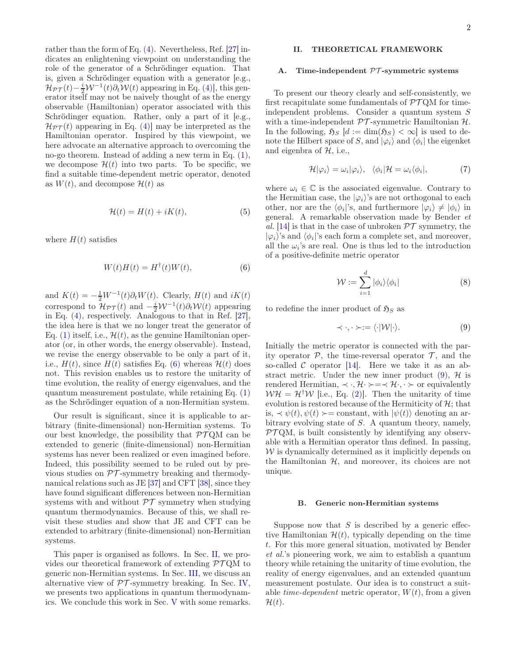rather than the form of Eq. [\(4\)](#page-0-2). Nevertheless, Ref. [\[27\]](#page-8-2) indicates an enlightening viewpoint on understanding the role of the generator of a Schrödinger equation. That is, given a Schrödinger equation with a generator [e.g.,  $\mathcal{H}_{PT}(t) - \frac{i}{2} \mathcal{W}^{-1}(t) \partial_t \mathcal{W}(t)$  appearing in Eq. [\(4\)](#page-0-2)], this generator itself may not be naively thought of as the energy observable (Hamiltonian) operator associated with this Schrödinger equation. Rather, only a part of it [e.g.,  $\mathcal{H}_{\mathcal{PT}}(t)$  appearing in Eq. [\(4\)](#page-0-2)] may be interpreted as the Hamiltonian operator. Inspired by this viewpoint, we here advocate an alternative approach to overcoming the no-go theorem. Instead of adding a new term in Eq. [\(1\)](#page-0-1), we decompose  $\mathcal{H}(t)$  into two parts. To be specific, we find a suitable time-dependent metric operator, denoted as  $W(t)$ , and decompose  $\mathcal{H}(t)$  as

<span id="page-1-4"></span>
$$
\mathcal{H}(t) = H(t) + iK(t),\tag{5}
$$

where  $H(t)$  satisfies

<span id="page-1-0"></span>
$$
W(t)H(t) = H^{\dagger}(t)W(t),\tag{6}
$$

and  $K(t) = -\frac{1}{2}W^{-1}(t)\partial_t W(t)$ . Clearly,  $H(t)$  and  $iK(t)$ correspond to  $\mathcal{H}_{\mathcal{PT}}(t)$  and  $-\frac{i}{2}\mathcal{W}^{-1}(t)\partial_t\mathcal{W}(t)$  appearing in Eq. [\(4\)](#page-0-2), respectively. Analogous to that in Ref. [\[27\]](#page-8-2), the idea here is that we no longer treat the generator of Eq. [\(1\)](#page-0-1) itself, i.e.,  $\mathcal{H}(t)$ , as the genuine Hamiltonian operator (or, in other words, the energy observable). Instead, we revise the energy observable to be only a part of it, i.e.,  $H(t)$ , since  $H(t)$  satisfies Eq. [\(6\)](#page-1-0) whereas  $\mathcal{H}(t)$  does not. This revision enables us to restore the unitarity of time evolution, the reality of energy eigenvalues, and the quantum measurement postulate, while retaining Eq. [\(1\)](#page-0-1) as the Schrödinger equation of a non-Hermitian system.

Our result is significant, since it is applicable to arbitrary (finite-dimensional) non-Hermitian systems. To our best knowledge, the possibility that  $\mathcal{PT}QM$  can be extended to generic (finite-dimensional) non-Hermitian systems has never been realized or even imagined before. Indeed, this possibility seemed to be ruled out by previous studies on  $\mathcal{PT}$ -symmetry breaking and thermodynamical relations such as JE [\[37](#page-8-4)] and CFT [\[38\]](#page-8-5), since they have found significant differences between non-Hermitian systems with and without  $\mathcal{PT}$  symmetry when studying quantum thermodynamics. Because of this, we shall revisit these studies and show that JE and CFT can be extended to arbitrary (finite-dimensional) non-Hermitian systems.

This paper is organised as follows. In Sec. [II,](#page-1-1) we provides our theoretical framework of extending  $\mathcal{PTQM}$  to generic non-Hermitian systems. In Sec. [III,](#page-4-0) we discuss an alternative view of  $\mathcal{PT}$ -symmetry breaking. In Sec. [IV,](#page-5-0) we presents two applications in quantum thermodynamics. We conclude this work in Sec. [V](#page-6-0) with some remarks.

# <span id="page-1-1"></span>II. THEORETICAL FRAMEWORK

#### A. Time-independent PT -symmetric systems

To present our theory clearly and self-consistently, we first recapitulate some fundamentals of  $\mathcal{PTQM}$  for timeindependent problems. Consider a quantum system S with a time-independent  $\mathcal{PT}$ -symmetric Hamiltonian  $\mathcal{H}$ . In the following,  $\mathfrak{H}_S$  [d := dim( $\mathfrak{H}_S$ ) <  $\infty$ ] is used to denote the Hilbert space of S, and  $|\varphi_i\rangle$  and  $\langle \phi_i |$  the eigenket and eigenbra of  $H$ , i.e.,

$$
\mathcal{H}|\varphi_i\rangle = \omega_i|\varphi_i\rangle, \quad \langle \phi_i|\mathcal{H} = \omega_i \langle \phi_i|,\tag{7}
$$

where  $\omega_i \in \mathbb{C}$  is the associated eigenvalue. Contrary to the Hermitian case, the  $|\varphi_i\rangle$ 's are not orthogonal to each other, nor are the  $\langle \phi_i | \text{'s, and furthermore } | \varphi_i \rangle \neq | \phi_i \rangle$  in general. A remarkable observation made by Bender *et al.* [\[14](#page-7-11)] is that in the case of unbroken  $\mathcal{PT}$  symmetry, the  $|\varphi_i\rangle$ 's and  $\langle \phi_i|$ 's each form a complete set, and moreover, all the  $\omega_i$ 's are real. One is thus led to the introduction of a positive-definite metric operator

<span id="page-1-3"></span>
$$
\mathcal{W} := \sum_{i=1}^{d} |\phi_i\rangle\langle\phi_i| \tag{8}
$$

to redefine the inner product of  $\mathfrak{H}_S$  as

<span id="page-1-2"></span>
$$
\prec \cdot, \cdot \succ := \langle \cdot | \mathcal{W} | \cdot \rangle. \tag{9}
$$

Initially the metric operator is connected with the parity operator  $P$ , the time-reversal operator  $T$ , and the so-called  $C$  operator [\[14](#page-7-11)]. Here we take it as an abstract metric. Under the new inner product  $(9)$ ,  $\mathcal{H}$  is rendered Hermitian,  $\prec \cdot, \mathcal{H} \rightarrow \prec \mathcal{H} \rightarrow \sim$  or equivalently  $W\mathcal{H} = \mathcal{H}^{\dagger}W$  [i.e., Eq. [\(2\)](#page-0-3)]. Then the unitarity of time evolution is restored because of the Hermiticity of  $H$ ; that is,  $\prec \psi(t), \psi(t) \succ =$  constant, with  $|\psi(t)\rangle$  denoting an arbitrary evolving state of S. A quantum theory, namely,  $PTQM$ , is built consistently by identifying any observable with a Hermitian operator thus defined. In passing,  $W$  is dynamically determined as it implicitly depends on the Hamiltonian  $H$ , and moreover, its choices are not unique.

### B. Generic non-Hermitian systems

Suppose now that  $S$  is described by a generic effective Hamiltonian  $\mathcal{H}(t)$ , typically depending on the time t. For this more general situation, motivated by Bender *et al.*'s pioneering work, we aim to establish a quantum theory while retaining the unitarity of time evolution, the reality of energy eigenvalues, and an extended quantum measurement postulate. Our idea is to construct a suitable *time-dependent* metric operator,  $W(t)$ , from a given  $\mathcal{H}(t)$ .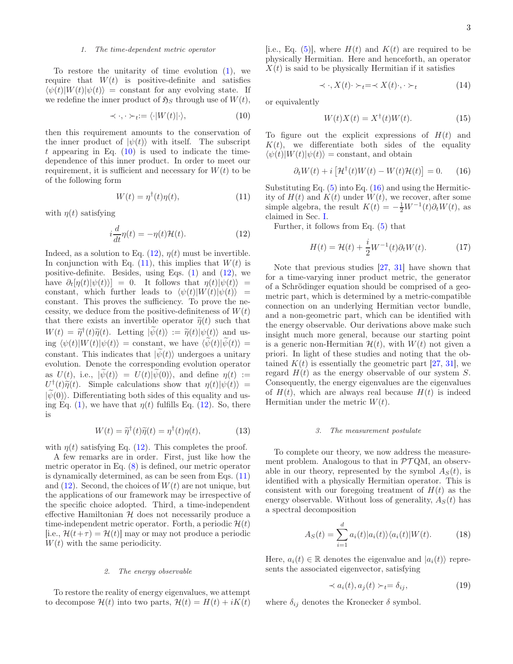### 1. The time-dependent metric operator

To restore the unitarity of time evolution [\(1\)](#page-0-1), we require that  $W(t)$  is positive-definite and satisfies  $\langle \psi(t)|W(t)|\psi(t)\rangle = \text{constant}$  for any evolving state. If we redefine the inner product of  $\mathfrak{H}_S$  through use of  $W(t)$ ,

<span id="page-2-0"></span>
$$
\prec \cdot, \cdot \succ_t := \langle \cdot | W(t) | \cdot \rangle,\tag{10}
$$

then this requirement amounts to the conservation of the inner product of  $|\psi(t)\rangle$  with itself. The subscript t appearing in Eq.  $(10)$  is used to indicate the timedependence of this inner product. In order to meet our requirement, it is sufficient and necessary for  $W(t)$  to be of the following form

<span id="page-2-2"></span>
$$
W(t) = \eta^{\dagger}(t)\eta(t),\tag{11}
$$

with  $\eta(t)$  satisfying

<span id="page-2-1"></span>
$$
i\frac{d}{dt}\eta(t) = -\eta(t)\mathcal{H}(t).
$$
 (12)

Indeed, as a solution to Eq.  $(12)$ ,  $\eta(t)$  must be invertible. In conjunction with Eq.  $(11)$ , this implies that  $W(t)$  is positive-definite. Besides, using Eqs.  $(1)$  and  $(12)$ , we have  $\partial_t[\eta(t)|\psi(t)\rangle] = 0$ . It follows that  $\eta(t)|\psi(t)\rangle =$ constant, which further leads to  $\langle \psi(t)|W(t)|\psi(t)\rangle$  = constant. This proves the sufficiency. To prove the necessity, we deduce from the positive-definiteness of  $W(t)$ that there exists an invertible operator  $\tilde{\eta}(t)$  such that  $W(t) = \widetilde{\eta}^{\dagger}(t)\widetilde{\eta}(t)$ . Letting  $|\widetilde{\psi}(t)\rangle := \widetilde{\eta}(t)|\psi(t)\rangle$  and using  $\langle \psi(t)|W(t)|\psi(t)\rangle$  = constant, we have  $\langle \psi(t)|\psi(t)\rangle$  = constant. This indicates that  $|\psi(t)\rangle$  undergoes a unitary evolution. Denote the corresponding evolution operator as  $U(t)$ , i.e.,  $|\psi(t)\rangle = U(t)|\psi(0)\rangle$ , and define  $\eta(t) :=$  $U^{\dagger}(t)\tilde{\eta}(t)$ . Simple calculations show that  $\eta(t)|\psi(t)\rangle =$  $|\psi(0)\rangle$ . Differentiating both sides of this equality and us-ing Eq. [\(1\)](#page-0-1), we have that  $\eta(t)$  fulfills Eq. [\(12\)](#page-2-1). So, there is

$$
W(t) = \tilde{\eta}^{\dagger}(t)\tilde{\eta}(t) = \eta^{\dagger}(t)\eta(t), \qquad (13)
$$

with  $\eta(t)$  satisfying Eq. [\(12\)](#page-2-1). This completes the proof.

A few remarks are in order. First, just like how the metric operator in Eq. [\(8\)](#page-1-3) is defined, our metric operator is dynamically determined, as can be seen from Eqs. [\(11\)](#page-2-2) and  $(12)$ . Second, the choices of  $W(t)$  are not unique, but the applications of our framework may be irrespective of the specific choice adopted. Third, a time-independent effective Hamiltonian  $H$  does not necessarily produce a time-independent metric operator. Forth, a periodic  $\mathcal{H}(t)$ [i.e.,  $\mathcal{H}(t+\tau) = \mathcal{H}(t)$ ] may or may not produce a periodic  $W(t)$  with the same periodicity.

### 2. The energy observable

To restore the reality of energy eigenvalues, we attempt to decompose  $\mathcal{H}(t)$  into two parts,  $\mathcal{H}(t) = H(t) + iK(t)$  [i.e., Eq. [\(5\)](#page-1-4)], where  $H(t)$  and  $K(t)$  are required to be physically Hermitian. Here and henceforth, an operator  $X(t)$  is said to be physically Hermitian if it satisfies

$$
\prec \cdot, X(t) \cdot \succ_t = \prec X(t) \cdot, \cdot \succ_t \tag{14}
$$

or equivalently

$$
W(t)X(t) = X^{\dagger}(t)W(t).
$$
 (15)

To figure out the explicit expressions of  $H(t)$  and  $K(t)$ , we differentiate both sides of the equality  $\langle \psi(t)|W(t)|\psi(t)\rangle =$  constant, and obtain

<span id="page-2-3"></span>
$$
\partial_t W(t) + i \left[ \mathcal{H}^\dagger(t) W(t) - W(t) \mathcal{H}(t) \right] = 0. \tag{16}
$$

Substituting Eq.  $(5)$  into Eq.  $(16)$  and using the Hermiticity of  $H(t)$  and  $K(t)$  under  $W(t)$ , we recover, after some simple algebra, the result  $K(t) = -\frac{1}{2}W^{-1}(t)\partial_t W(t)$ , as claimed in Sec. [I.](#page-0-4)

Further, it follows from Eq. [\(5\)](#page-1-4) that

<span id="page-2-4"></span>
$$
H(t) = \mathcal{H}(t) + \frac{i}{2}W^{-1}(t)\partial_t W(t).
$$
 (17)

Note that previous studies [\[27,](#page-8-2) [31\]](#page-8-1) have shown that for a time-varying inner product metric, the generator of a Schrödinger equation should be comprised of a geometric part, which is determined by a metric-compatible connection on an underlying Hermitian vector bundle, and a non-geometric part, which can be identified with the energy observable. Our derivations above make such insight much more general, because our starting point is a generic non-Hermitian  $\mathcal{H}(t)$ , with  $W(t)$  not given a priori. In light of these studies and noting that the obtained  $K(t)$  is essentially the geometric part [\[27,](#page-8-2) [31\]](#page-8-1), we regard  $H(t)$  as the energy observable of our system S. Consequently, the energy eigenvalues are the eigenvalues of  $H(t)$ , which are always real because  $H(t)$  is indeed Hermitian under the metric  $W(t)$ .

#### 3. The measurement postulate

To complete our theory, we now address the measurement problem. Analogous to that in  $\mathcal{PTQM}$ , an observable in our theory, represented by the symbol  $A<sub>S</sub>(t)$ , is identified with a physically Hermitian operator. This is consistent with our foregoing treatment of  $H(t)$  as the energy observable. Without loss of generality,  $A<sub>S</sub>(t)$  has a spectral decomposition

$$
A_S(t) = \sum_{i=1}^d a_i(t) |a_i(t)\rangle \langle a_i(t)| W(t). \tag{18}
$$

Here,  $a_i(t) \in \mathbb{R}$  denotes the eigenvalue and  $|a_i(t)\rangle$  represents the associated eigenvector, satisfying

$$
\prec a_i(t), a_j(t) \succ_t = \delta_{ij}, \tag{19}
$$

where  $\delta_{ij}$  denotes the Kronecker  $\delta$  symbol.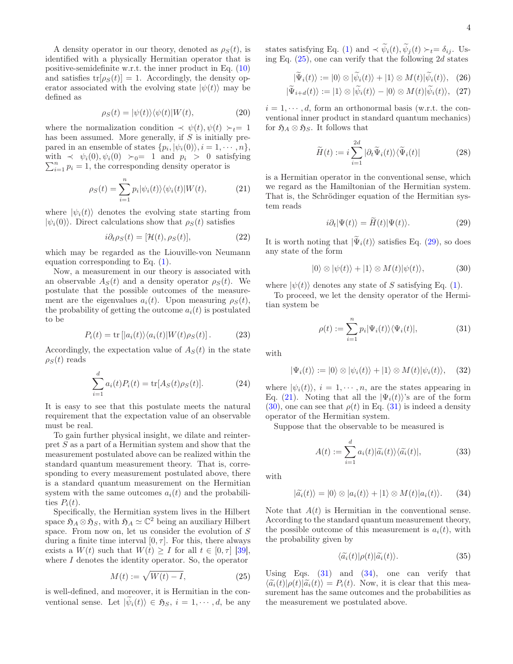A density operator in our theory, denoted as  $\rho_S(t)$ , is identified with a physically Hermitian operator that is positive-semidefinite w.r.t. the inner product in Eq. [\(10\)](#page-2-0) and satisfies  $tr[\rho_S(t)] = 1$ . Accordingly, the density operator associated with the evolving state  $|\psi(t)\rangle$  may be defined as

$$
\rho_S(t) = |\psi(t)\rangle\langle\psi(t)|W(t),\tag{20}
$$

where the normalization condition  $\prec \psi(t), \psi(t) \succ_t= 1$ has been assumed. More generally, if  $S$  is initially prepared in an ensemble of states  $\{p_i, |\psi_i(0)\rangle, i = 1, \dots, n\},\$  $\sum_{i=1}^{n} p_i = 1$ , the corresponding density operator is with  $\prec \psi_i(0), \psi_i(0) \succ_0 = 1$  and  $p_i > 0$  satisfying

<span id="page-3-2"></span>
$$
\rho_S(t) = \sum_{i=1}^n p_i |\psi_i(t)\rangle \langle \psi_i(t)| W(t), \qquad (21)
$$

where  $|\psi_i(t)\rangle$  denotes the evolving state starting from  $|\psi_i(0)\rangle$ . Direct calculations show that  $\rho_S(t)$  satisfies

<span id="page-3-6"></span>
$$
i\partial_t \rho_S(t) = [\mathcal{H}(t), \rho_S(t)],\tag{22}
$$

which may be regarded as the Liouville-von Neumann equation corresponding to Eq. [\(1\)](#page-0-1).

Now, a measurement in our theory is associated with an observable  $A_S(t)$  and a density operator  $\rho_S(t)$ . We postulate that the possible outcomes of the measurement are the eigenvalues  $a_i(t)$ . Upon measuring  $\rho_S(t)$ , the probability of getting the outcome  $a_i(t)$  is postulated to be

$$
P_i(t) = \text{tr}\left[|a_i(t)\rangle\langle a_i(t)|W(t)\rho_S(t)\right].\tag{23}
$$

Accordingly, the expectation value of  $A<sub>S</sub>(t)$  in the state  $\rho_S(t)$  reads

$$
\sum_{i=1}^{d} a_i(t) P_i(t) = \text{tr}[A_S(t)\rho_S(t)].
$$
 (24)

It is easy to see that this postulate meets the natural requirement that the expectation value of an observable must be real.

To gain further physical insight, we dilate and reinterpret S as a part of a Hermitian system and show that the measurement postulated above can be realized within the standard quantum measurement theory. That is, corresponding to every measurement postulated above, there is a standard quantum measurement on the Hermitian system with the same outcomes  $a_i(t)$  and the probabilities  $P_i(t)$ .

Specifically, the Hermitian system lives in the Hilbert space  $\mathfrak{H}_A \otimes \mathfrak{H}_S$ , with  $\mathfrak{H}_A \simeq \mathbb{C}^2$  being an auxiliary Hilbert space. From now on, let us consider the evolution of S during a finite time interval  $[0, \tau]$ . For this, there always exists a  $W(t)$  such that  $W(t) \geq I$  for all  $t \in [0, \tau]$  [\[39\]](#page-8-6), where I denotes the identity operator. So, the operator

<span id="page-3-0"></span>
$$
M(t) := \sqrt{W(t) - I},\tag{25}
$$

is well-defined, and moreover, it is Hermitian in the conventional sense. Let  $|\psi_i(t)\rangle \in \mathfrak{H}_S$ ,  $i = 1, \dots, d$ , be any states satisfying Eq. [\(1\)](#page-0-1) and  $\prec \widetilde{\psi}_i(t), \widetilde{\psi}_j(t) \succ_t = \delta_{ij}$ . Using Eq.  $(25)$ , one can verify that the following 2d states

$$
|\widetilde{\Psi}_i(t)\rangle := |0\rangle \otimes |\widetilde{\psi}_i(t)\rangle + |1\rangle \otimes M(t)|\widetilde{\psi}_i(t)\rangle, \quad (26)
$$

$$
|\tilde{\Psi}_{i+d}(t)\rangle := |1\rangle \otimes |\tilde{\psi}_i(t)\rangle - |0\rangle \otimes M(t)|\tilde{\psi}_i(t)\rangle, \tag{27}
$$

 $i = 1, \dots, d$ , form an orthonormal basis (w.r.t. the conventional inner product in standard quantum mechanics) for  $\mathfrak{H}_A \otimes \mathfrak{H}_S$ . It follows that

$$
\widetilde{H}(t) := i \sum_{i=1}^{2d} |\partial_t \widetilde{\Psi}_i(t) \rangle \langle \widetilde{\Psi}_i(t) |
$$
\n(28)

is a Hermitian operator in the conventional sense, which we regard as the Hamiltonian of the Hermitian system. That is, the Schrödinger equation of the Hermitian system reads

<span id="page-3-1"></span>
$$
i\partial_t|\Psi(t)\rangle = H(t)|\Psi(t)\rangle.
$$
 (29)

It is worth noting that  $|\widetilde{\Psi}_i(t)\rangle$  satisfies Eq. [\(29\)](#page-3-1), so does any state of the form

<span id="page-3-3"></span>
$$
|0\rangle \otimes |\psi(t)\rangle + |1\rangle \otimes M(t)|\psi(t)\rangle, \qquad (30)
$$

where  $|\psi(t)\rangle$  denotes any state of S satisfying Eq. [\(1\)](#page-0-1).

To proceed, we let the density operator of the Hermitian system be

<span id="page-3-4"></span>
$$
\rho(t) := \sum_{i=1}^{n} p_i |\Psi_i(t)\rangle \langle \Psi_i(t)|,
$$
\n(31)

with

$$
|\Psi_i(t)\rangle := |0\rangle \otimes |\psi_i(t)\rangle + |1\rangle \otimes M(t)|\psi_i(t)\rangle, \quad (32)
$$

where  $|\psi_i(t)\rangle$ ,  $i = 1, \dots, n$ , are the states appearing in Eq. [\(21\)](#page-3-2). Noting that all the  $|\Psi_i(t)\rangle$ 's are of the form  $(30)$ , one can see that  $\rho(t)$  in Eq.  $(31)$  is indeed a density operator of the Hermitian system.

Suppose that the observable to be measured is

$$
A(t) := \sum_{i=1}^{d} a_i(t) |\tilde{a}_i(t)\rangle \langle \tilde{a}_i(t)|,
$$
\n(33)

with

<span id="page-3-5"></span>
$$
|\tilde{a_i}(t)\rangle = |0\rangle \otimes |a_i(t)\rangle + |1\rangle \otimes M(t)|a_i(t)\rangle. \qquad (34)
$$

Note that  $A(t)$  is Hermitian in the conventional sense. According to the standard quantum measurement theory, the possible outcome of this measurement is  $a_i(t)$ , with the probability given by

$$
\langle \tilde{a}_i(t) | \rho(t) | \tilde{a}_i(t) \rangle. \tag{35}
$$

Using Eqs.  $(31)$  and  $(34)$ , one can verify that  $\langle \tilde{a}_i(t)|\rho(t)|\tilde{a}_i(t)\rangle = P_i(t)$ . Now, it is clear that this measurement has the same outcomes and the probabilities as the measurement we postulated above.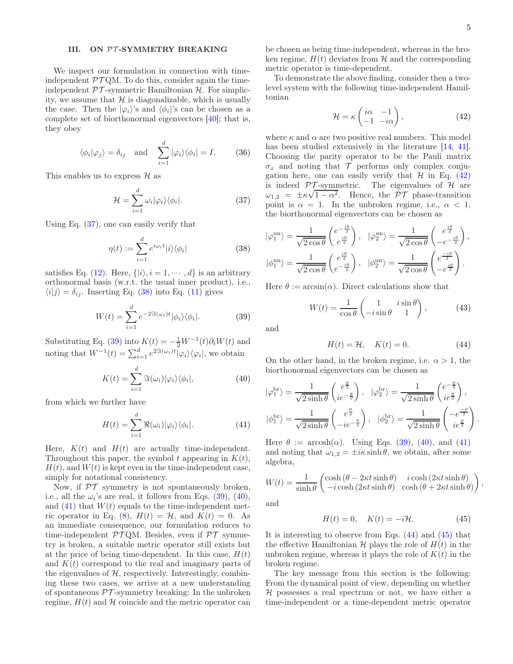.

# <span id="page-4-0"></span>III. ON PT-SYMMETRY BREAKING

We inspect our formulation in connection with timeindependent  $\mathcal{PT}QM$ . To do this, consider again the timeindependent  $\mathcal{PT}$ -symmetric Hamiltonian  $\mathcal{H}$ . For simplicity, we assume that  $H$  is diagonalizable, which is usually the case. Then the  $|\varphi_i\rangle$ 's and  $\langle \phi_i|$ 's can be chosen as a complete set of biorthonormal eigenvectors [\[40](#page-8-7)]; that is, they obey

$$
\langle \phi_i | \varphi_j \rangle = \delta_{ij}
$$
 and  $\sum_{i=1}^d |\varphi_i\rangle \langle \phi_i| = I.$  (36)

This enables us to express  $\mathcal{H}$  as

<span id="page-4-1"></span>
$$
\mathcal{H} = \sum_{i=1}^{d} \omega_i |\varphi_i\rangle\langle\phi_i|.
$$
 (37)

Using Eq. [\(37\)](#page-4-1), one can easily verify that

<span id="page-4-2"></span>
$$
\eta(t) := \sum_{i=1}^{d} e^{i\omega_i t} |i\rangle\langle\phi_i|
$$
\n(38)

satisfies Eq. [\(12\)](#page-2-1). Here,  $\{|i\rangle, i = 1, \dots, d\}$  is an arbitrary orthonormal basis (w.r.t. the usual inner product), i.e.,  $\langle i|j\rangle = \delta_{ij}$ . Inserting Eq. [\(38\)](#page-4-2) into Eq. [\(11\)](#page-2-2) gives

<span id="page-4-3"></span>
$$
W(t) = \sum_{i=1}^{d} e^{-2\Im(\omega_i)t} |\phi_i\rangle\langle\phi_i|.
$$
 (39)

Substituting Eq. [\(39\)](#page-4-3) into  $K(t) = -\frac{1}{2}W^{-1}(t)\partial_t W(t)$  and noting that  $W^{-1}(t) = \sum_{i=1}^{d} e^{2\Im(\omega_i)t} |\varphi_i\rangle \langle \varphi_i|$ , we obtain

<span id="page-4-4"></span>
$$
K(t) = \sum_{i=1}^{d} \Im(\omega_i) |\varphi_i\rangle\langle\phi_i|,
$$
 (40)

from which we further have

<span id="page-4-5"></span>
$$
H(t) = \sum_{i=1}^{d} \Re(\omega_i) |\varphi_i\rangle \langle \phi_i|.
$$
 (41)

Here,  $K(t)$  and  $H(t)$  are actually time-independent. Throughout this paper, the symbol t appearing in  $K(t)$ ,  $H(t)$ , and  $W(t)$  is kept even in the time-independent case, simply for notational consistency.

Now, if  $\mathcal{PT}$  symmetry is not spontaneously broken, i.e., all the  $\omega_i$ 's are real, it follows from Eqs. [\(39\)](#page-4-3), [\(40\)](#page-4-4), and  $(41)$  that  $W(t)$  equals to the time-independent met-ric operator in Eq. [\(8\)](#page-1-3),  $H(t) = H$ , and  $K(t) = 0$ . As an immediate consequence, our formulation reduces to time-independent  $\mathcal{PT}QM$ . Besides, even if  $\mathcal{PT}$  symmetry is broken, a suitable metric operator still exists but at the price of being time-dependent. In this case,  $H(t)$ and  $K(t)$  correspond to the real and imaginary parts of the eigenvalues of  $H$ , respectively. Interestingly, combining these two cases, we arrive at a new understanding of spontaneous  $\mathcal{PT}$ -symmetry breaking: In the unbroken regime,  $H(t)$  and  $H$  coincide and the metric operator can

be chosen as being time-independent, whereas in the broken regime,  $H(t)$  deviates from  $\mathcal H$  and the corresponding metric operator is time-dependent.

To demonstrate the above finding, consider then a twolevel system with the following time-independent Hamiltonian

<span id="page-4-6"></span>
$$
\mathcal{H} = \kappa \begin{pmatrix} i\alpha & -1 \\ -1 & -i\alpha \end{pmatrix},\tag{42}
$$

where  $\kappa$  and  $\alpha$  are two positive real numbers. This model has been studied extensively in the literature [\[14](#page-7-11), [41\]](#page-8-8). Choosing the parity operator to be the Pauli matrix  $\sigma_x$  and noting that  $\mathcal T$  performs only complex conjugation here, one can easily verify that  $H$  in Eq. [\(42\)](#page-4-6) is indeed  $\mathcal{PT}$ -symmetric. The eigenvalues of  $\mathcal H$  are  $ω_{1,2} = \pm \kappa \sqrt{1-\alpha^2}$ . Hence, the PT phase-transition point is  $\alpha = 1$ . In the unbroken regime, i.e.,  $\alpha < 1$ , the biorthonormal eigenvectors can be chosen as

$$
|\varphi_1^{\text{un}}\rangle = \frac{1}{\sqrt{2\cos\theta}} \begin{pmatrix} e^{-\frac{i\theta}{2}} \\ e^{\frac{i\theta}{2}} \end{pmatrix}, \quad |\varphi_2^{\text{un}}\rangle = \frac{1}{\sqrt{2\cos\theta}} \begin{pmatrix} e^{\frac{i\theta}{2}} \\ -e^{-\frac{i\theta}{2}} \end{pmatrix},
$$
  

$$
|\phi_1^{\text{un}}\rangle = \frac{1}{\sqrt{2\cos\theta}} \begin{pmatrix} e^{\frac{i\theta}{2}} \\ e^{-\frac{i\theta}{2}} \end{pmatrix}, \quad |\phi_2^{\text{un}}\rangle = \frac{1}{\sqrt{2\cos\theta}} \begin{pmatrix} e^{\frac{-i\theta}{2}} \\ -e^{\frac{i\theta}{2}} \end{pmatrix}.
$$

Here  $\theta := \arcsin(\alpha)$ . Direct calculations show that

$$
W(t) = \frac{1}{\cos \theta} \begin{pmatrix} 1 & i \sin \theta \\ -i \sin \theta & 1 \end{pmatrix}, \quad (43)
$$

and

<span id="page-4-7"></span>
$$
H(t) = \mathcal{H}, \quad K(t) = 0.
$$
 (44)

On the other hand, in the broken regime, i.e.  $\alpha > 1$ , the biorthonormal eigenvectors can be chosen as

$$
|\varphi_1^{\text{br}}\rangle = \frac{1}{\sqrt{2\sinh\theta}} \begin{pmatrix} e^{\frac{\theta}{2}} \\ ie^{-\frac{\theta}{2}} \end{pmatrix}, \quad |\varphi_2^{\text{br}}\rangle = \frac{1}{\sqrt{2\sinh\theta}} \begin{pmatrix} e^{-\frac{\theta}{2}} \\ ie^{\frac{\theta}{2}} \end{pmatrix},
$$
  

$$
|\phi_1^{\text{br}}\rangle = \frac{1}{\sqrt{2\sinh\theta}} \begin{pmatrix} e^{\frac{\theta}{2}} \\ -ie^{-\frac{\theta}{2}} \end{pmatrix}, \quad |\phi_2^{\text{br}}\rangle = \frac{1}{\sqrt{2\sinh\theta}} \begin{pmatrix} -e^{\frac{-\theta}{2}} \\ ie^{\frac{\theta}{2}} \end{pmatrix}
$$

Here  $\theta := \arcsin(\alpha)$ . Using Eqs. [\(39\)](#page-4-3), [\(40\)](#page-4-4), and [\(41\)](#page-4-5) and noting that  $\omega_{1,2} = \pm i\kappa \sinh \theta$ , we obtain, after some algebra,

$$
W(t) = \frac{1}{\sinh \theta} \begin{pmatrix} \cosh (\theta - 2\kappa t \sinh \theta) & i \cosh (2\kappa t \sinh \theta) \\ -i \cosh (2\kappa t \sinh \theta) & \cosh (\theta + 2\kappa t \sinh \theta) \end{pmatrix},
$$

and

<span id="page-4-8"></span>
$$
H(t) = 0, \quad K(t) = -i\mathcal{H}.
$$
 (45)

It is interesting to observe from Eqs. [\(44\)](#page-4-7) and [\(45\)](#page-4-8) that the effective Hamiltonian  $\mathcal H$  plays the role of  $H(t)$  in the unbroken regime, whereas it plays the role of  $K(t)$  in the broken regime.

The key message from this section is the following: From the dynamical point of view, depending on whether  $H$  possesses a real spectrum or not, we have either a time-independent or a time-dependent metric operator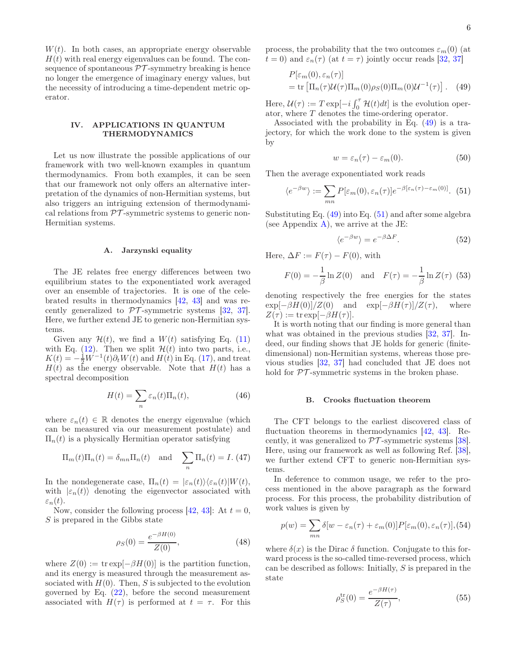$W(t)$ . In both cases, an appropriate energy observable  $H(t)$  with real energy eigenvalues can be found. The consequence of spontaneous  $\mathcal{PT}$ -symmetry breaking is hence no longer the emergence of imaginary energy values, but the necessity of introducing a time-dependent metric operator.

# <span id="page-5-0"></span>IV. APPLICATIONS IN QUANTUM THERMODYNAMICS

Let us now illustrate the possible applications of our framework with two well-known examples in quantum thermodynamics. From both examples, it can be seen that our framework not only offers an alternative interpretation of the dynamics of non-Hermitian systems, but also triggers an intriguing extension of thermodynamical relations from  $\mathcal{PT}$ -symmetric systems to generic non-Hermitian systems.

### A. Jarzynski equality

The JE relates free energy differences between two equilibrium states to the exponentiated work averaged over an ensemble of trajectories. It is one of the celebrated results in thermodynamics [\[42,](#page-8-9) [43](#page-8-10)] and was recently generalized to  $\mathcal{PT}$ -symmetric systems [\[32](#page-8-11), [37\]](#page-8-4). Here, we further extend JE to generic non-Hermitian systems.

Given any  $\mathcal{H}(t)$ , we find a  $W(t)$  satisfying Eq. [\(11\)](#page-2-2) with Eq. [\(12\)](#page-2-1). Then we split  $\mathcal{H}(t)$  into two parts, i.e.,  $K(t) = -\frac{1}{2}W^{-1}(t)\partial_t W(t)$  and  $H(t)$  in Eq. [\(17\)](#page-2-4), and treat  $H(t)$  as the energy observable. Note that  $H(t)$  has a spectral decomposition

$$
H(t) = \sum_{n} \varepsilon_n(t) \Pi_n(t), \tag{46}
$$

where  $\varepsilon_n(t) \in \mathbb{R}$  denotes the energy eigenvalue (which can be measured via our measurement postulate) and  $\Pi_n(t)$  is a physically Hermitian operator satisfying

$$
\Pi_m(t)\Pi_n(t) = \delta_{mn}\Pi_n(t) \text{ and } \sum_n \Pi_n(t) = I.
$$
 (47)

In the nondegenerate case,  $\Pi_n(t) = |\varepsilon_n(t)\rangle \langle \varepsilon_n(t)|W(t),$ with  $|\varepsilon_n(t)\rangle$  denoting the eigenvector associated with  $\varepsilon_n(t)$ .

Now, consider the following process [\[42](#page-8-9), [43](#page-8-10)]: At  $t = 0$ , S is prepared in the Gibbs state

<span id="page-5-6"></span>
$$
\rho_S(0) = \frac{e^{-\beta H(0)}}{Z(0)},
$$
\n(48)

where  $Z(0) := \text{tr} \exp[-\beta H(0)]$  is the partition function, and its energy is measured through the measurement associated with  $H(0)$ . Then, S is subjected to the evolution governed by Eq.  $(22)$ , before the second measurement associated with  $H(\tau)$  is performed at  $t = \tau$ . For this

process, the probability that the two outcomes  $\varepsilon_m(0)$  (at  $t = 0$ ) and  $\varepsilon_n(\tau)$  (at  $t = \tau$ ) jointly occur reads [\[32,](#page-8-11) [37\]](#page-8-4)

<span id="page-5-1"></span>
$$
P[\varepsilon_m(0), \varepsilon_n(\tau)]
$$
  
= tr  $\left[\Pi_n(\tau) \mathcal{U}(\tau) \Pi_m(0) \rho_S(0) \Pi_m(0) \mathcal{U}^{-1}(\tau)\right]$ . (49)

Here,  $\mathcal{U}(\tau) := T \exp[-i \int_0^{\tau} \mathcal{H}(t) dt]$  is the evolution operator, where T denotes the time-ordering operator.

Associated with the probability in Eq. [\(49\)](#page-5-1) is a trajectory, for which the work done to the system is given by

<span id="page-5-3"></span>
$$
w = \varepsilon_n(\tau) - \varepsilon_m(0). \tag{50}
$$

Then the average exponentiated work reads

<span id="page-5-2"></span>
$$
\langle e^{-\beta w} \rangle := \sum_{mn} P[\varepsilon_m(0), \varepsilon_n(\tau)] e^{-\beta[\varepsilon_n(\tau) - \varepsilon_m(0)]}. \tag{51}
$$

Substituting Eq.  $(49)$  into Eq.  $(51)$  and after some algebra (see Appendix [A\)](#page-7-20), we arrive at the JE:

<span id="page-5-5"></span>
$$
\langle e^{-\beta w} \rangle = e^{-\beta \Delta F}.
$$
 (52)

Here,  $\Delta F := F(\tau) - F(0)$ , with

$$
F(0) = -\frac{1}{\beta} \ln Z(0)
$$
 and  $F(\tau) = -\frac{1}{\beta} \ln Z(\tau)$  (53)

denoting respectively the free energies for the states  $\exp[-\beta H(0)]/Z(0)$  and  $\exp[-\beta H(\tau)]/Z(\tau)$ , where  $Z(\tau) := \text{tr} \exp[-\beta H(\tau)].$ 

It is worth noting that our finding is more general than what was obtained in the previous studies  $[32, 37]$  $[32, 37]$ . Indeed, our finding shows that JE holds for generic (finitedimensional) non-Hermitian systems, whereas those previous studies [\[32,](#page-8-11) [37\]](#page-8-4) had concluded that JE does not hold for  $\mathcal{PT}$ -symmetric systems in the broken phase.

### B. Crooks fluctuation theorem

The CFT belongs to the earliest discovered class of fluctuation theorems in thermodynamics [\[42,](#page-8-9) [43\]](#page-8-10). Recently, it was generalized to  $\mathcal{PT}$ -symmetric systems [\[38\]](#page-8-5). Here, using our framework as well as following Ref. [\[38\]](#page-8-5), we further extend CFT to generic non-Hermitian systems.

In deference to common usage, we refer to the process mentioned in the above paragraph as the forward process. For this process, the probability distribution of work values is given by

<span id="page-5-4"></span>
$$
p(w) = \sum_{mn} \delta[w - \varepsilon_n(\tau) + \varepsilon_m(0)] P[\varepsilon_m(0), \varepsilon_n(\tau)],
$$
 (54)

where  $\delta(x)$  is the Dirac  $\delta$  function. Conjugate to this forward process is the so-called time-reversed process, which can be described as follows: Initially, S is prepared in the state

<span id="page-5-7"></span>
$$
\rho_S^{\text{tr}}(0) = \frac{e^{-\beta H(\tau)}}{Z(\tau)},\tag{55}
$$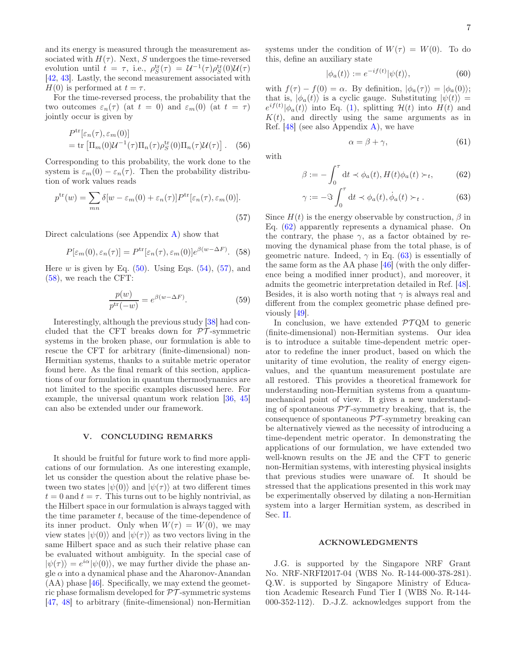and its energy is measured through the measurement associated with  $H(\tau)$ . Next, S undergoes the time-reversed evolution until  $t = \tau$ , i.e.,  $\rho_S^{\text{tr}}(\tau) = \mathcal{U}^{-1}(\tau)\rho_S^{\text{tr}}(0)\mathcal{U}(\tau)$ [\[42,](#page-8-9) [43](#page-8-10)]. Lastly, the second measurement associated with  $H(0)$  is performed at  $t = \tau$ .

For the time-reversed process, the probability that the two outcomes  $\varepsilon_n(\tau)$  (at  $t = 0$ ) and  $\varepsilon_m(0)$  (at  $t = \tau$ ) jointly occur is given by

<span id="page-6-5"></span>
$$
P^{\text{tr}}[\varepsilon_n(\tau), \varepsilon_m(0)]
$$
  
= tr  $\left[\Pi_m(0)\mathcal{U}^{-1}(\tau)\Pi_n(\tau)\rho_S^{\text{tr}}(0)\Pi_n(\tau)\mathcal{U}(\tau)\right]$ . (56)

Corresponding to this probability, the work done to the system is  $\varepsilon_m(0) - \varepsilon_n(\tau)$ . Then the probability distribution of work values reads

<span id="page-6-1"></span>
$$
p^{\text{tr}}(w) = \sum_{mn} \delta[w - \varepsilon_m(0) + \varepsilon_n(\tau)] P^{\text{tr}}[\varepsilon_n(\tau), \varepsilon_m(0)].
$$
\n(57)

Direct calculations (see Appendix [A\)](#page-7-20) show that

<span id="page-6-2"></span>
$$
P[\varepsilon_m(0), \varepsilon_n(\tau)] = P^{\text{tr}}[\varepsilon_n(\tau), \varepsilon_m(0)] e^{\beta(w - \Delta F)}. (58)
$$

Here w is given by Eq.  $(50)$ . Using Eqs.  $(54)$ ,  $(57)$ , and [\(58\)](#page-6-2), we reach the CFT:

$$
\frac{p(w)}{p^{\text{tr}}(-w)} = e^{\beta(w - \Delta F)}.
$$
\n(59)

Interestingly, although the previous study [\[38\]](#page-8-5) had concluded that the CFT breaks down for  $\mathcal{PT}$ -symmetric systems in the broken phase, our formulation is able to rescue the CFT for arbitrary (finite-dimensional) non-Hermitian systems, thanks to a suitable metric operator found here. As the final remark of this section, applications of our formulation in quantum thermodynamics are not limited to the specific examples discussed here. For example, the universal quantum work relation [\[36](#page-8-3), [45](#page-8-12)] can also be extended under our framework.

# <span id="page-6-0"></span>V. CONCLUDING REMARKS

It should be fruitful for future work to find more applications of our formulation. As one interesting example, let us consider the question about the relative phase between two states  $|\psi(0)\rangle$  and  $|\psi(\tau)\rangle$  at two different times  $t = 0$  and  $t = \tau$ . This turns out to be highly nontrivial, as the Hilbert space in our formulation is always tagged with the time parameter  $t$ , because of the time-dependence of its inner product. Only when  $W(\tau) = W(0)$ , we may view states  $|\psi(0)\rangle$  and  $|\psi(\tau)\rangle$  as two vectors living in the same Hilbert space and as such their relative phase can be evaluated without ambiguity. In the special case of  $|\psi(\tau)\rangle = e^{i\alpha} |\psi(0)\rangle$ , we may further divide the phase angle  $\alpha$  into a dynamical phase and the Aharonov-Anandan  $(AA)$  phase [\[46\]](#page-8-13). Specifically, we may extend the geometric phase formalism developed for  $\mathcal{PT}$ -symmetric systems [\[47,](#page-8-14) [48\]](#page-8-15) to arbitrary (finite-dimensional) non-Hermitian

systems under the condition of  $W(\tau) = W(0)$ . To do this, define an auxiliary state

$$
|\phi_a(t)\rangle := e^{-if(t)}|\psi(t)\rangle,\tag{60}
$$

with  $f(\tau) - f(0) = \alpha$ . By definition,  $|\phi_a(\tau)\rangle = |\phi_a(0)\rangle$ ; that is,  $|\phi_a(t)\rangle$  is a cyclic gauge. Substituting  $|\psi(t)\rangle =$  $e^{if(t)}|\phi_a(t)\rangle$  into Eq. [\(1\)](#page-0-1), splitting  $\mathcal{H}(t)$  into  $H(t)$  and  $K(t)$ , and directly using the same arguments as in Ref.  $[48]$  (see also Appendix [A\)](#page-7-20), we have

<span id="page-6-4"></span>
$$
\alpha = \beta + \gamma,\tag{61}
$$

with

<span id="page-6-3"></span>
$$
\beta := -\int_0^\tau dt \prec \phi_a(t), H(t)\phi_a(t) \succ_t, \quad (62)
$$

$$
\gamma := -\Im \int_0^\tau dt \prec \phi_a(t), \dot{\phi}_a(t) \succ_t . \tag{63}
$$

Since  $H(t)$  is the energy observable by construction,  $\beta$  in Eq. [\(62\)](#page-6-3) apparently represents a dynamical phase. On the contrary, the phase  $\gamma$ , as a factor obtained by removing the dynamical phase from the total phase, is of geometric nature. Indeed,  $\gamma$  in Eq. [\(63\)](#page-6-3) is essentially of the same form as the AA phase [\[46\]](#page-8-13) (with the only difference being a modified inner product), and moreover, it admits the geometric interpretation detailed in Ref. [\[48\]](#page-8-15). Besides, it is also worth noting that  $\gamma$  is always real and different from the complex geometric phase defined previously [\[49\]](#page-8-16).

In conclusion, we have extended  $\mathcal{PT}QM$  to generic (finite-dimensional) non-Hermitian systems. Our idea is to introduce a suitable time-dependent metric operator to redefine the inner product, based on which the unitarity of time evolution, the reality of energy eigenvalues, and the quantum measurement postulate are all restored. This provides a theoretical framework for understanding non-Hermitian systems from a quantummechanical point of view. It gives a new understanding of spontaneous  $\mathcal{PT}$ -symmetry breaking, that is, the consequence of spontaneous  $\mathcal{PT}$ -symmetry breaking can be alternatively viewed as the necessity of introducing a time-dependent metric operator. In demonstrating the applications of our formulation, we have extended two well-known results on the JE and the CFT to generic non-Hermitian systems, with interesting physical insights that previous studies were unaware of. It should be stressed that the applications presented in this work may be experimentally observed by dilating a non-Hermitian system into a larger Hermitian system, as described in Sec. [II.](#page-1-1)

#### ACKNOWLEDGMENTS

J.G. is supported by the Singapore NRF Grant No. NRF-NRFI2017-04 (WBS No. R-144-000-378-281). Q.W. is supported by Singapore Ministry of Education Academic Research Fund Tier I (WBS No. R-144- 000-352-112). D.-J.Z. acknowledges support from the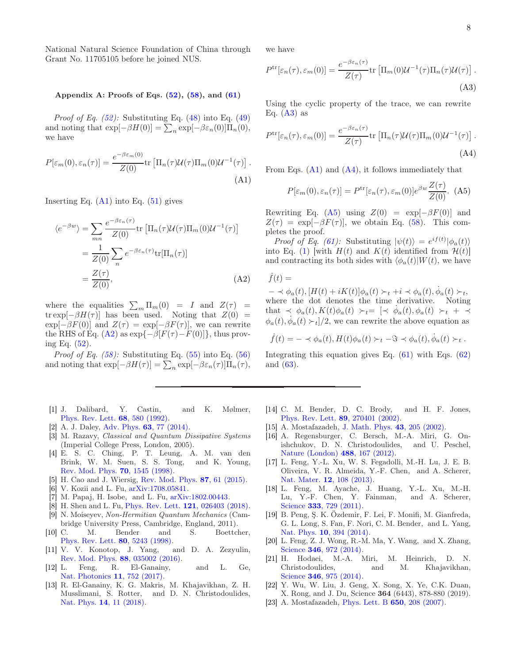National Natural Science Foundation of China through Grant No. 11705105 before he joined NUS.

# <span id="page-7-20"></span>Appendix A: Proofs of Eqs.  $(52)$ ,  $(58)$ , and  $(61)$

*Proof of Eq. [\(52\)](#page-5-5):* Substituting Eq. [\(48\)](#page-5-6) into Eq. [\(49\)](#page-5-1) and noting that  $\exp[-\beta H(0)] = \sum_{n} \exp[-\beta \varepsilon_n(0)] \Pi_n(0),$ we have

<span id="page-7-21"></span>
$$
P[\varepsilon_m(0), \varepsilon_n(\tau)] = \frac{e^{-\beta \varepsilon_m(0)}}{Z(0)} \text{tr}\left[\Pi_n(\tau) \mathcal{U}(\tau) \Pi_m(0) \mathcal{U}^{-1}(\tau)\right].
$$
\n(A1)

Inserting Eq.  $(A1)$  into Eq.  $(51)$  gives

<span id="page-7-22"></span>
$$
\langle e^{-\beta w} \rangle = \sum_{mn} \frac{e^{-\beta \varepsilon_n(\tau)}}{Z(0)} \text{tr} \left[ \Pi_n(\tau) \mathcal{U}(\tau) \Pi_m(0) \mathcal{U}^{-1}(\tau) \right]
$$
  
= 
$$
\frac{1}{Z(0)} \sum_n e^{-\beta \varepsilon_n(\tau)} \text{tr}[\Pi_n(\tau)]
$$
  
= 
$$
\frac{Z(\tau)}{Z(0)}, \tag{A2}
$$

where the equalities  $\sum_m \Pi_m(0) = I$  and  $Z(\tau) =$ tr exp[- $\beta H(\tau)$ ] has been used. Noting that  $Z(0)$  =  $\exp[-\beta F(0)]$  and  $Z(\tau) = \exp[-\beta F(\tau)]$ , we can rewrite the RHS of Eq. [\(A2\)](#page-7-22) as  $\exp{-\beta[F(\tau)-F(0)]}$ , thus proving Eq. [\(52\)](#page-5-5).

*Proof of Eq. [\(58\)](#page-6-2):* Substituting Eq. [\(55\)](#page-5-7) into Eq. [\(56\)](#page-6-5) and noting that  $\exp[-\beta H(\tau)] = \sum_{n} \exp[-\beta \varepsilon_n(\tau)] \Pi_n(\tau),$ 

- <span id="page-7-0"></span>[1] J. Dalibard, Y. Castin, and K. Mølmer, [Phys. Rev. Lett.](http://dx.doi.org/10.1103/PhysRevLett.68.580) 68, 580 (1992).
- <span id="page-7-1"></span>[2] A. J. Daley, Adv. Phys. **63**[, 77 \(2014\).](http://dx.doi.org/10.1080/00018732.2014.933502)
- <span id="page-7-2"></span>[3] M. Razavy, Classical and Quantum Dissipative Systems (Imperial College Press, London, 2005).
- <span id="page-7-3"></span>[4] E. S. C. Ching, P. T. Leung, A. M. van den Brink, W. M. Suen, S. S. Tong, and K. Young, [Rev. Mod. Phys.](http://dx.doi.org/10.1103/RevModPhys.70.1545) 70, 1545 (1998).
- <span id="page-7-4"></span>[5] H. Cao and J. Wiersig, [Rev. Mod. Phys.](http://dx.doi.org/10.1103/RevModPhys.87.61) 87, 61 (2015).
- <span id="page-7-5"></span>[6] V. Kozii and L. Fu, [arXiv:1708.05841.](https://arxiv.org/abs/1708.05841)
- [7] M. Papaj, H. Isobe, and L. Fu, [arXiv:1802.00443.](https://arxiv.org/abs/1802.00443)
- <span id="page-7-6"></span>[8] H. Shen and L. Fu, [Phys. Rev. Lett.](http://dx.doi.org/10.1103/PhysRevLett.121.026403) 121, 026403 (2018).
- <span id="page-7-7"></span>[9] N. Moiseyev, Non-Hermitian Quantum Mechanics (Cambridge University Press, Cambridge, England, 2011).
- <span id="page-7-8"></span>[10] C. M. Bender and S. Boettcher, [Phys. Rev. Lett.](http://dx.doi.org/10.1103/PhysRevLett.80.5243) 80, 5243 (1998).
- <span id="page-7-9"></span>[11] V. V. Konotop, J. Yang, and D. A. Zezyulin, [Rev. Mod. Phys.](http://dx.doi.org/10.1103/RevModPhys.88.035002) 88, 035002 (2016).
- [12] L. Feng, R. El-Ganainy, and L. Ge, [Nat. Photonics](http://dx.doi.org/10.1038/s41566-017-0031-1) 11, 752 (2017).
- <span id="page-7-10"></span>[13] R. El-Ganainy, K. G. Makris, M. Khajavikhan, Z. H. Musslimani, S. Rotter, and D. N. Christodoulides, Nat. Phys. 14[, 11 \(2018\).](http://dx.doi.org/10.1038/NPHYS4323)

we have

<span id="page-7-23"></span>
$$
P^{\text{tr}}[\varepsilon_n(\tau), \varepsilon_m(0)] = \frac{e^{-\beta \varepsilon_n(\tau)}}{Z(\tau)} \text{tr}\left[\Pi_m(0) \mathcal{U}^{-1}(\tau) \Pi_n(\tau) \mathcal{U}(\tau)\right].
$$
\n(A3)

Using the cyclic property of the trace, we can rewrite Eq.  $(A3)$  as

<span id="page-7-24"></span>
$$
P^{\text{tr}}[\varepsilon_n(\tau), \varepsilon_m(0)] = \frac{e^{-\beta \varepsilon_n(\tau)}}{Z(\tau)} \text{tr}\left[\Pi_n(\tau) \mathcal{U}(\tau) \Pi_m(0) \mathcal{U}^{-1}(\tau)\right].
$$
\n(A4)

From Eqs.  $(A1)$  and  $(A4)$ , it follows immediately that

<span id="page-7-25"></span>
$$
P[\varepsilon_m(0), \varepsilon_n(\tau)] = P^{\text{tr}}[\varepsilon_n(\tau), \varepsilon_m(0)] e^{\beta w} \frac{Z(\tau)}{Z(0)}. (A5)
$$

Rewriting Eq. [\(A5\)](#page-7-25) using  $Z(0) = \exp[-\beta F(0)]$  and  $Z(\tau) = \exp[-\beta F(\tau)],$  we obtain Eq. [\(58\)](#page-6-2). This completes the proof.

*Proof of Eq.* [\(61\)](#page-6-4): Substituting  $|\psi(t)\rangle = e^{if(t)}|\phi_a(t)\rangle$ into Eq. [\(1\)](#page-0-1) with  $H(t)$  and  $K(t)$  identified from  $\mathcal{H}(t)$ and contracting its both sides with  $\langle \phi_a(t)|W(t) \rangle$ , we have

 $f(t) =$ 

 $- \prec \phi_a(t), [H(t) + iK(t)]\phi_a(t) \succ_t +i \prec \phi_a(t), \dot{\phi}_a(t) \succ_t,$ where the dot denotes the time derivative. Noting that  $\prec \phi_a(t), K(t)\phi_a(t) \succ_t = [\prec \phi_a(t), \phi_a(t) \succ_t + \prec$  $\phi_a(t), \dot{\phi}_a(t) \succ_t ]/2$ , we can rewrite the above equation as

$$
\dot{f}(t) = - \langle \phi_a(t), H(t) \phi_a(t) \rangle_t - \Im \langle \phi_a(t), \dot{\phi}_a(t) \rangle_t.
$$

Integrating this equation gives Eq.  $(61)$  with Eqs.  $(62)$ and [\(63\)](#page-6-3).

- <span id="page-7-11"></span>[14] C. M. Bender, D. C. Brody, and H. F. Jones, [Phys. Rev. Lett.](http://dx.doi.org/10.1103/PhysRevLett.89.270401) 89, 270401 (2002).
- <span id="page-7-12"></span>[15] A. Mostafazadeh, [J. Math. Phys.](http://dx.doi.org/10.1063/1.1418246) 43, 205 (2002).
- <span id="page-7-13"></span>[16] A. Regensburger, C. Bersch, M.-A. Miri, G. Onishchukov, D. N. Christodoulides, and U. Peschel, [Nature \(London\)](http://dx.doi.org/doi:10.1038/nature11298) 488, 167 (2012).
- <span id="page-7-14"></span>[17] L. Feng, Y.-L. Xu, W. S. Fegadolli, M.-H. Lu, J. E. B. Oliveira, V. R. Almeida, Y.-F. Chen, and A. Scherer, Nat. Mater. 12[, 108 \(2013\).](http://dx.doi.org/ 10.1038/NMAT3495)
- [18] L. Feng, M. Ayache, J. Huang, Y.-L. Xu, M.-H. Lu, Y.-F. Chen, Y. Fainman, and A. Scherer, Science **333**[, 729 \(2011\).](http://dx.doi.org/10.1126/science.1206038)
- <span id="page-7-15"></span>[19] B. Peng, Ş. K. Özdemir, F. Lei, F. Monifi, M. Gianfreda, G. L. Long, S. Fan, F. Nori, C. M. Bender, and L. Yang, Nat. Phys. 10[, 394 \(2014\).](http://dx.doi.org/ 10.1038/nphys2927)
- <span id="page-7-16"></span>[20] L. Feng, Z. J. Wong, R.-M. Ma, Y. Wang, and X. Zhang, Science **346**[, 972 \(2014\).](http://dx.doi.org/ 10.1126/science.1258479)
- <span id="page-7-17"></span>[21] H. Hodaei, M.-A. Miri, M. Heinrich, D. N. Christodoulides, and M. Khajavikhan, Science 346[, 975 \(2014\).](http://dx.doi.org/10.1126/science.1258480)
- <span id="page-7-18"></span>[22] Y. Wu, W. Liu, J. Geng, X. Song, X. Ye, C.K. Duan, X. Rong, and J. Du, Science 364 (6443), 878-880 (2019).
- <span id="page-7-19"></span>[23] A. Mostafazadeh, [Phys. Lett. B](http://dx.doi.org/10.1016/j.physletb.2007.04.064) 650, 208 (2007).